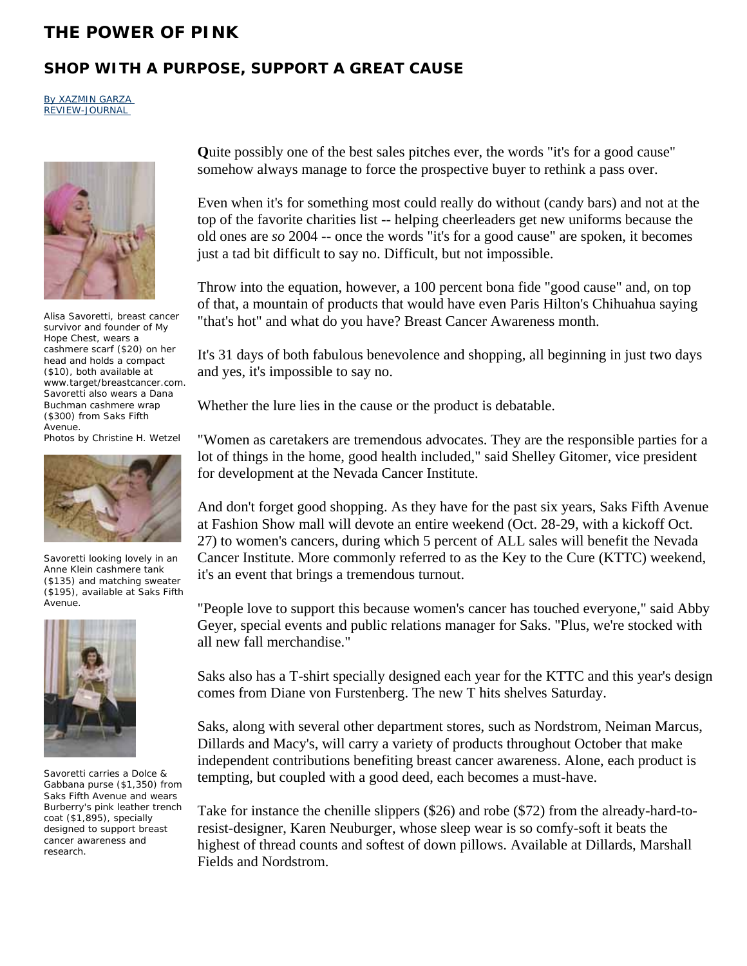## **THE POWER OF PINK**

## **SHOP WITH A PURPOSE, SUPPORT A GREAT CAUSE**

By XAZMIN GARZA REVIEW-JOURNAL



Alisa Savoretti, breast cancer survivor and founder of My Hope Chest, wears a cashmere scarf (\$20) on her head and holds a compact (\$10), both available at www.target/breastcancer.com. Savoretti also wears a Dana Buchman cashmere wrap (\$300) from Saks Fifth Avenue.

Photos by Christine H. Wetzel



Savoretti looking lovely in an Anne Klein cashmere tank (\$135) and matching sweater (\$195), available at Saks Fifth Avenue.



Savoretti carries a Dolce & Gabbana purse (\$1,350) from Saks Fifth Avenue and wears Burberry's pink leather trench coat (\$1,895), specially designed to support breast cancer awareness and research.

**Q**uite possibly one of the best sales pitches ever, the words "it's for a good cause" somehow always manage to force the prospective buyer to rethink a pass over.

Even when it's for something most could really do without (candy bars) and not at the top of the favorite charities list -- helping cheerleaders get new uniforms because the old ones are *so* 2004 -- once the words "it's for a good cause" are spoken, it becomes just a tad bit difficult to say no. Difficult, but not impossible.

Throw into the equation, however, a 100 percent bona fide "good cause" and, on top of that, a mountain of products that would have even Paris Hilton's Chihuahua saying "that's hot" and what do you have? Breast Cancer Awareness month.

It's 31 days of both fabulous benevolence and shopping, all beginning in just two days and yes, it's impossible to say no.

Whether the lure lies in the cause or the product is debatable.

"Women as caretakers are tremendous advocates. They are the responsible parties for a lot of things in the home, good health included," said Shelley Gitomer, vice president for development at the Nevada Cancer Institute.

And don't forget good shopping. As they have for the past six years, Saks Fifth Avenue at Fashion Show mall will devote an entire weekend (Oct. 28-29, with a kickoff Oct. 27) to women's cancers, during which 5 percent of ALL sales will benefit the Nevada Cancer Institute. More commonly referred to as the Key to the Cure (KTTC) weekend, it's an event that brings a tremendous turnout.

"People love to support this because women's cancer has touched everyone," said Abby Geyer, special events and public relations manager for Saks. "Plus, we're stocked with all new fall merchandise."

Saks also has a T-shirt specially designed each year for the KTTC and this year's design comes from Diane von Furstenberg. The new T hits shelves Saturday.

Saks, along with several other department stores, such as Nordstrom, Neiman Marcus, Dillards and Macy's, will carry a variety of products throughout October that make independent contributions benefiting breast cancer awareness. Alone, each product is tempting, but coupled with a good deed, each becomes a must-have.

Take for instance the chenille slippers (\$26) and robe (\$72) from the already-hard-toresist-designer, Karen Neuburger, whose sleep wear is so comfy-soft it beats the highest of thread counts and softest of down pillows. Available at Dillards, Marshall Fields and Nordstrom.